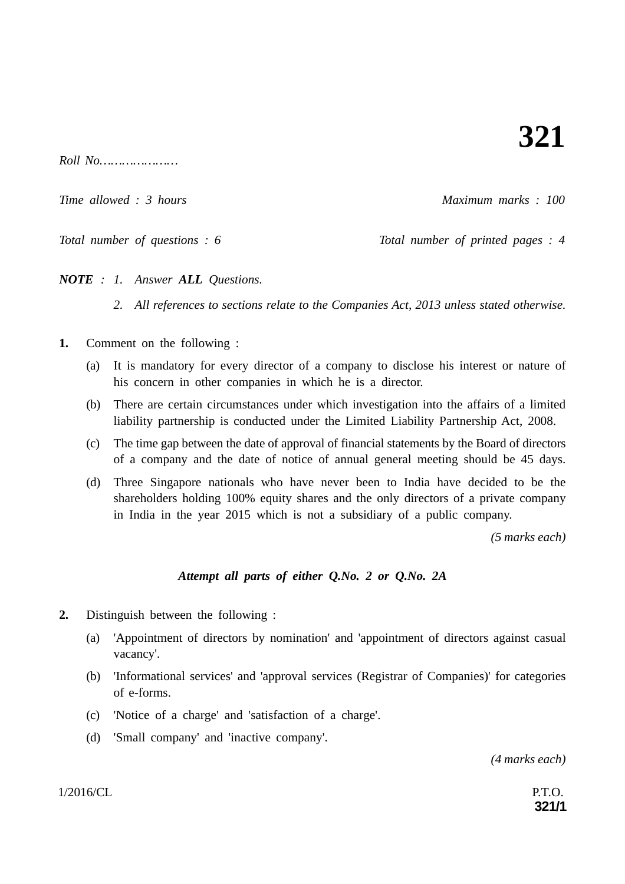*Roll No…………………*

*Time allowed : 3 hours* Maximum marks : 100

*Total number of questions : 6* Total number of printed pages : 4

*NOTE : 1. Answer ALL Questions.*

*2. All references to sections relate to the Companies Act, 2013 unless stated otherwise.*

- **1.** Comment on the following :
	- (a) It is mandatory for every director of a company to disclose his interest or nature of his concern in other companies in which he is a director.
	- (b) There are certain circumstances under which investigation into the affairs of a limited liability partnership is conducted under the Limited Liability Partnership Act, 2008.
	- (c) The time gap between the date of approval of financial statements by the Board of directors of a company and the date of notice of annual general meeting should be 45 days.
	- (d) Three Singapore nationals who have never been to India have decided to be the shareholders holding 100% equity shares and the only directors of a private company in India in the year 2015 which is not a subsidiary of a public company.

*(5 marks each)*

## *Attempt all parts of either Q.No. 2 or Q.No. 2A*

- **2.** Distinguish between the following :
	- (a) 'Appointment of directors by nomination' and 'appointment of directors against casual vacancy'.
	- (b) 'Informational services' and 'approval services (Registrar of Companies)' for categories of e-forms.
	- (c) 'Notice of a charge' and 'satisfaction of a charge'.
	- (d) 'Small company' and 'inactive company'.

*(4 marks each)*

 $1/2016/CL$  P.T.O.

**321/1**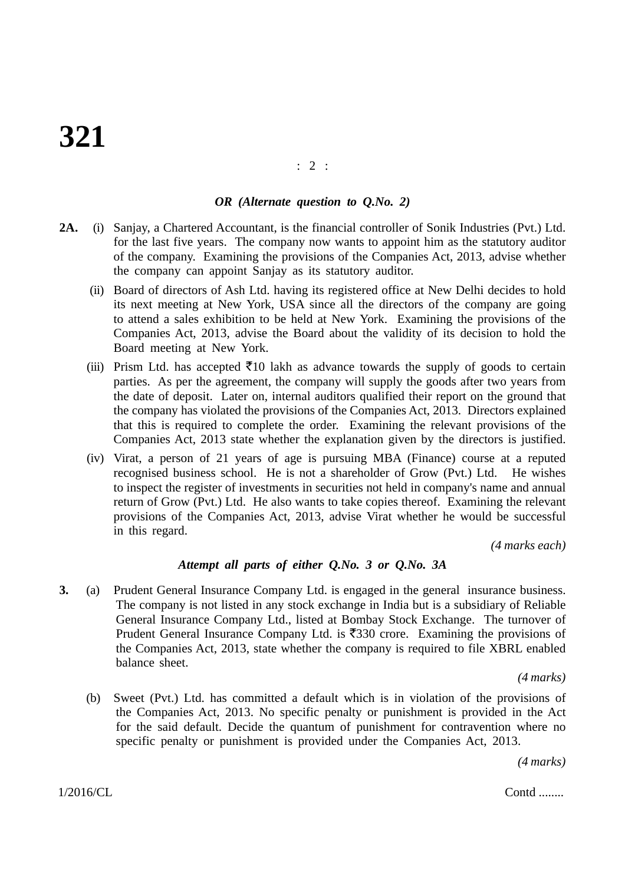# **321**

#### : 2 :

#### *OR (Alternate question to Q.No. 2)*

- **2A.** (i) Sanjay, a Chartered Accountant, is the financial controller of Sonik Industries (Pvt.) Ltd. for the last five years. The company now wants to appoint him as the statutory auditor of the company. Examining the provisions of the Companies Act, 2013, advise whether the company can appoint Sanjay as its statutory auditor.
	- (ii) Board of directors of Ash Ltd. having its registered office at New Delhi decides to hold its next meeting at New York, USA since all the directors of the company are going to attend a sales exhibition to be held at New York. Examining the provisions of the Companies Act, 2013, advise the Board about the validity of its decision to hold the Board meeting at New York.
	- (iii) Prism Ltd. has accepted  $\bar{\tau}$ 10 lakh as advance towards the supply of goods to certain parties. As per the agreement, the company will supply the goods after two years from the date of deposit. Later on, internal auditors qualified their report on the ground that the company has violated the provisions of the Companies Act, 2013. Directors explained that this is required to complete the order. Examining the relevant provisions of the Companies Act, 2013 state whether the explanation given by the directors is justified.
	- (iv) Virat, a person of 21 years of age is pursuing MBA (Finance) course at a reputed recognised business school. He is not a shareholder of Grow (Pvt.) Ltd. He wishes to inspect the register of investments in securities not held in company's name and annual return of Grow (Pvt.) Ltd. He also wants to take copies thereof. Examining the relevant provisions of the Companies Act, 2013, advise Virat whether he would be successful in this regard.

*(4 marks each)*

#### *Attempt all parts of either Q.No. 3 or Q.No. 3A*

**3.** (a) Prudent General Insurance Company Ltd. is engaged in the general insurance business. The company is not listed in any stock exchange in India but is a subsidiary of Reliable General Insurance Company Ltd., listed at Bombay Stock Exchange. The turnover of Prudent General Insurance Company Ltd. is  $\overline{5}330$  crore. Examining the provisions of the Companies Act, 2013, state whether the company is required to file XBRL enabled balance sheet.

*(4 marks)*

(b) Sweet (Pvt.) Ltd. has committed a default which is in violation of the provisions of the Companies Act, 2013. No specific penalty or punishment is provided in the Act for the said default. Decide the quantum of punishment for contravention where no specific penalty or punishment is provided under the Companies Act, 2013.

*(4 marks)*

 $1/2016/CL$  Contd ........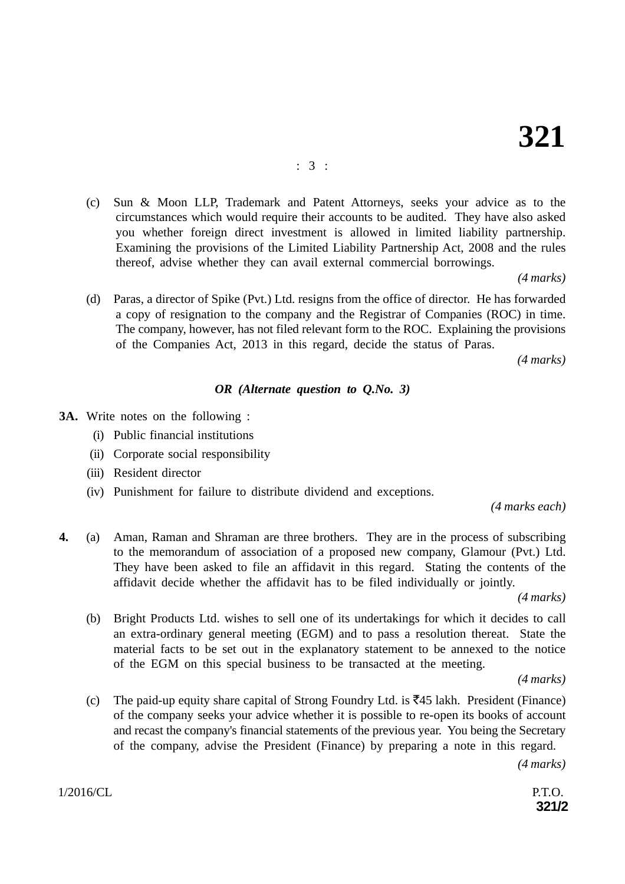(c) Sun & Moon LLP, Trademark and Patent Attorneys, seeks your advice as to the circumstances which would require their accounts to be audited. They have also asked you whether foreign direct investment is allowed in limited liability partnership. Examining the provisions of the Limited Liability Partnership Act, 2008 and the rules thereof, advise whether they can avail external commercial borrowings.

*(4 marks)*

(d) Paras, a director of Spike (Pvt.) Ltd. resigns from the office of director. He has forwarded a copy of resignation to the company and the Registrar of Companies (ROC) in time. The company, however, has not filed relevant form to the ROC. Explaining the provisions of the Companies Act, 2013 in this regard, decide the status of Paras.

 *(4 marks)*

## *OR (Alternate question to Q.No. 3)*

- **3A.** Write notes on the following :
	- (i) Public financial institutions
	- (ii) Corporate social responsibility
	- (iii) Resident director
	- (iv) Punishment for failure to distribute dividend and exceptions.

*(4 marks each)*

**4.** (a) Aman, Raman and Shraman are three brothers. They are in the process of subscribing to the memorandum of association of a proposed new company, Glamour (Pvt.) Ltd. They have been asked to file an affidavit in this regard. Stating the contents of the affidavit decide whether the affidavit has to be filed individually or jointly.

*(4 marks)*

(b) Bright Products Ltd. wishes to sell one of its undertakings for which it decides to call an extra-ordinary general meeting (EGM) and to pass a resolution thereat. State the material facts to be set out in the explanatory statement to be annexed to the notice of the EGM on this special business to be transacted at the meeting.

*(4 marks)*

(c) The paid-up equity share capital of Strong Foundry Ltd. is  $\overline{5}45$  lakh. President (Finance) of the company seeks your advice whether it is possible to re-open its books of account and recast the company's financial statements of the previous year. You being the Secretary of the company, advise the President (Finance) by preparing a note in this regard.

*(4 marks)*

**321/2**

 $1/2016/CL$  P.T.O.